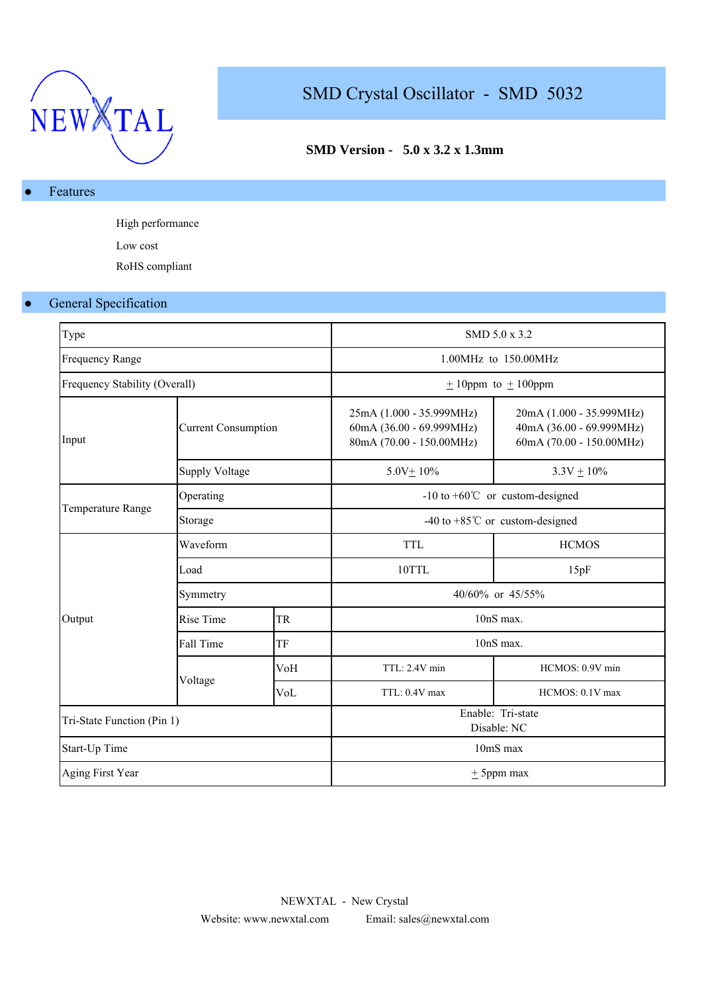

# SMD Crystal Oscillator - SMD 5032

## **SMD Version - 5.0 x 3.2 x 1.3mm**

### Features

High performance Low cost RoHS compliant

### ● General Specification

| Type                          |                            |           |                                                                                  | SMD 5.0 x 3.2                                                                    |  |  |  |
|-------------------------------|----------------------------|-----------|----------------------------------------------------------------------------------|----------------------------------------------------------------------------------|--|--|--|
| <b>Frequency Range</b>        |                            |           | 1.00MHz to 150.00MHz                                                             |                                                                                  |  |  |  |
| Frequency Stability (Overall) |                            |           |                                                                                  | $\pm$ 10ppm to $\pm$ 100ppm                                                      |  |  |  |
| Input                         | <b>Current Consumption</b> |           | 25mA (1.000 - 35.999MHz)<br>60mA (36.00 - 69.999MHz)<br>80mA (70.00 - 150.00MHz) | 20mA (1.000 - 35.999MHz)<br>40mA (36.00 - 69.999MHz)<br>60mA (70.00 - 150.00MHz) |  |  |  |
|                               | <b>Supply Voltage</b>      |           | $5.0V + 10%$                                                                     | $3.3V + 10\%$                                                                    |  |  |  |
|                               | Operating                  |           | $-10$ to $+60^{\circ}$ or custom-designed                                        |                                                                                  |  |  |  |
| Temperature Range             | Storage                    |           | -40 to +85 $^{\circ}$ C or custom-designed                                       |                                                                                  |  |  |  |
|                               | Waveform                   |           | <b>TTL</b>                                                                       | <b>HCMOS</b>                                                                     |  |  |  |
|                               | Load                       |           | 10TTL                                                                            | 15pF                                                                             |  |  |  |
|                               | Symmetry                   |           | 40/60% or 45/55%                                                                 |                                                                                  |  |  |  |
| Output                        | Rise Time                  | <b>TR</b> | $10nS$ max.                                                                      |                                                                                  |  |  |  |
|                               | Fall Time                  | TF        | 10nS max.                                                                        |                                                                                  |  |  |  |
|                               |                            | VoH       | TTL: 2.4V min                                                                    | HCMOS: 0.9V min                                                                  |  |  |  |
|                               | Voltage<br>VoL             |           | TTL: 0.4V max                                                                    | HCMOS: 0.1V max                                                                  |  |  |  |
| Tri-State Function (Pin 1)    |                            |           | Enable: Tri-state<br>Disable: NC                                                 |                                                                                  |  |  |  |
| Start-Up Time                 |                            |           | 10mS max                                                                         |                                                                                  |  |  |  |
| Aging First Year              |                            |           |                                                                                  | $\pm$ 5ppm max                                                                   |  |  |  |
|                               |                            |           |                                                                                  |                                                                                  |  |  |  |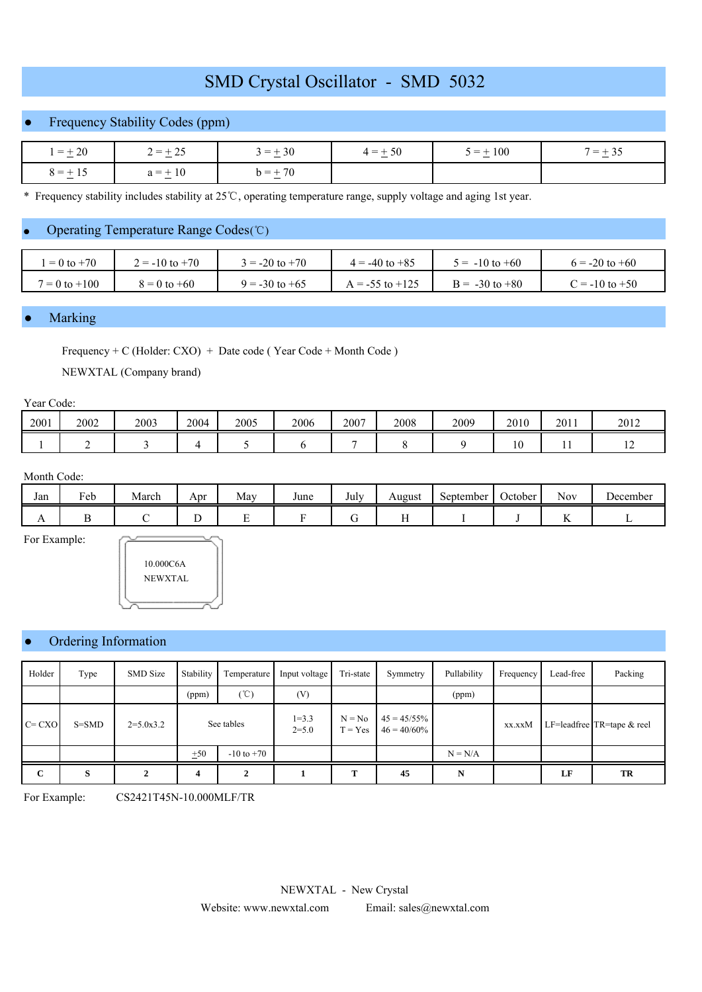## SMD Crystal Oscillator - SMD 5032

## ● Frequency Stability Codes (ppm)

| $=\pm 20$    | $r = \pm 25$<br><b>1</b>         | $= +30$<br>__ | $4 = +50$<br>$ -$ | $5 = \pm 100$ | $=$ $\cdot$ |  |
|--------------|----------------------------------|---------------|-------------------|---------------|-------------|--|
| $8 = \pm 15$ | $\frac{1}{2}$ + 10<br>$\Omega =$ | $h = +70$     |                   |               |             |  |

\* Frequency stability includes stability at 25 ℃, operating temperature range, supply voltage and aging 1st year.

### Operating Temperature Range Codes (℃)

| $= 0$ to $+70$    | $2 = -10$ to $+70$ | $= -20$ to $+70$   | $4 = -40$ to $+85$  | $5 = -10$ to $+60$ | $6 = -20$ to $+60$ |
|-------------------|--------------------|--------------------|---------------------|--------------------|--------------------|
| $7 = 0$ to $+100$ | $8 = 0$ to $+60$   | $9 = -30$ to $+65$ | $A = -55$ to $+125$ | $B = -30$ to $+80$ | $C = -10$ to $+50$ |

#### **Marking**

Frequency + C (Holder: CXO) + Date code ( Year Code + Month Code ) NEWXTAL (Company brand)

#### Year Code:

| 2001 | 2002 | 2003 | 2004 | 2005 | 2006 | 2007 | 2008 | 2009 | 2010              | 2011 | 2012 |
|------|------|------|------|------|------|------|------|------|-------------------|------|------|
|      |      |      |      |      |      |      |      |      | $1 \Omega$<br>1 U | . .  | --   |

#### Month Code:

| Jan            | $\mathbf{r}$<br>Feb | March | Apr | May | June | $\mathbf{r}$ 1<br>July | August | September | October | - -<br>Nov              | December |
|----------------|---------------------|-------|-----|-----|------|------------------------|--------|-----------|---------|-------------------------|----------|
| $\overline{1}$ |                     |       |     | ∸   |      |                        | . .    |           |         | $\overline{\mathbf{r}}$ |          |

For Example:



#### Ordering Information

| Holder      | Type      | <b>SMD</b> Size | Stability  | Temperature    | Input voltage          | Tri-state             | Symmetry                         | Pullability | Frequency | Lead-free | Packing                    |
|-------------|-----------|-----------------|------------|----------------|------------------------|-----------------------|----------------------------------|-------------|-----------|-----------|----------------------------|
|             |           |                 | (ppm)      | $^{\circ}$ C)  | (V)                    |                       |                                  | (ppm)       |           |           |                            |
| $C = CXO$   | $S = SMD$ | $2=5.0x3.2$     | See tables |                | $1 = 3.3$<br>$2 = 5.0$ | $N = No$<br>$T = Yes$ | $45 = 45/55\%$<br>$46 = 40/60\%$ |             | xx.xxM    |           | LF=leadfree TR=tape & reel |
|             |           |                 | ±50        | $-10$ to $+70$ |                        |                       |                                  | $N = N/A$   |           |           |                            |
| $\mathbf C$ | S         |                 | 4          |                |                        | т                     | 45                               | N           |           | LF        | TR                         |

For Example: CS2421T45N-10.000MLF/TR